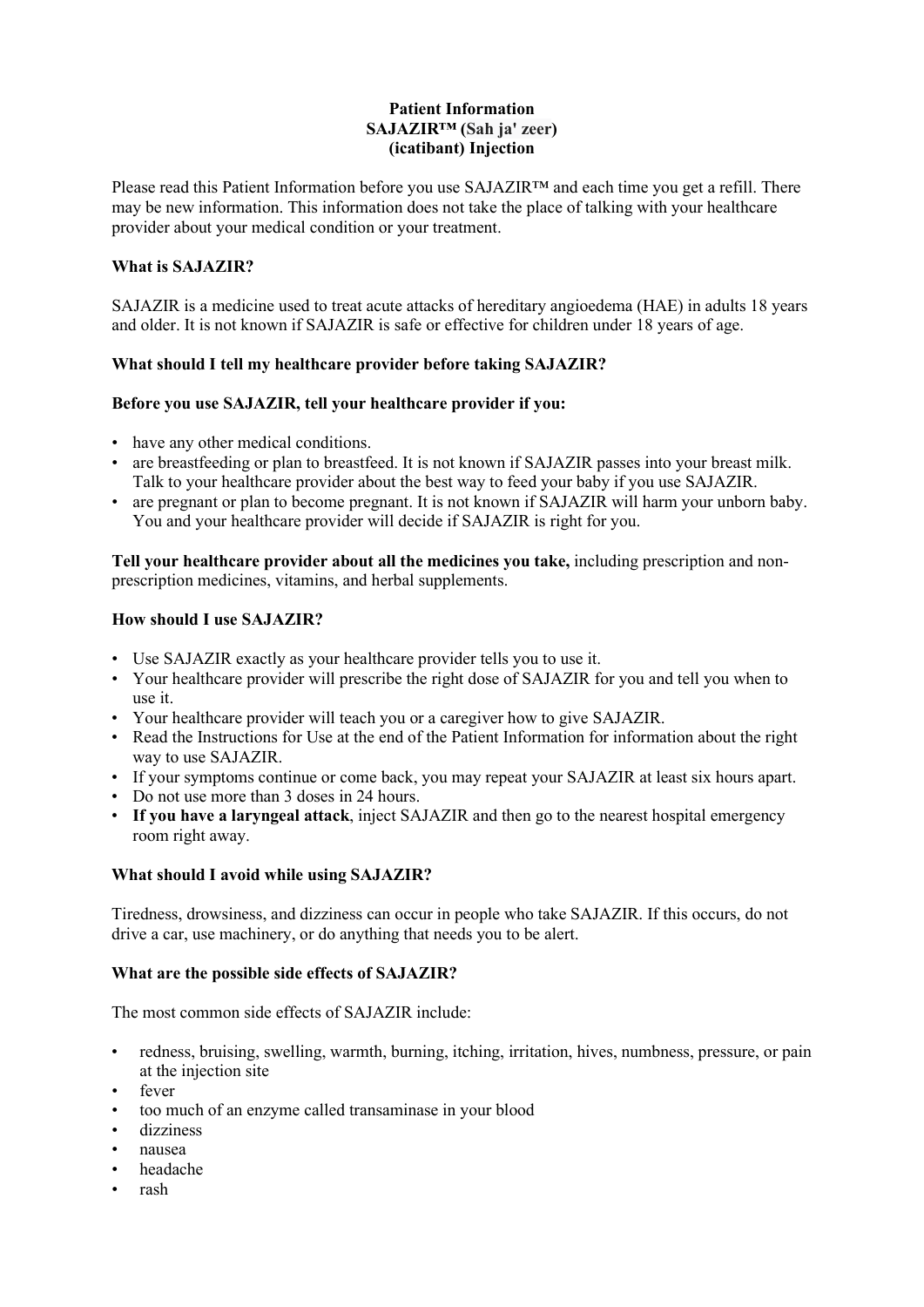### **Patient Information SAJAZIR™ (Sah ja' zeer) (icatibant) Injection**

Please read this Patient Information before you use SAJAZIR™ and each time you get a refill. There may be new information. This information does not take the place of talking with your healthcare provider about your medical condition or your treatment.

# **What is SAJAZIR?**

SAJAZIR is a medicine used to treat acute attacks of hereditary angioedema (HAE) in adults 18 years and older. It is not known if SAJAZIR is safe or effective for children under 18 years of age.

# **What should I tell my healthcare provider before taking SAJAZIR?**

#### **Before you use SAJAZIR, tell your healthcare provider if you:**

- have any other medical conditions.
- are breastfeeding or plan to breastfeed. It is not known if SAJAZIR passes into your breast milk. Talk to your healthcare provider about the best way to feed your baby if you use SAJAZIR.
- are pregnant or plan to become pregnant. It is not known if SAJAZIR will harm your unborn baby. You and your healthcare provider will decide if SAJAZIR is right for you.

**Tell your healthcare provider about all the medicines you take,** including prescription and nonprescription medicines, vitamins, and herbal supplements.

# **How should I use SAJAZIR?**

- Use SAJAZIR exactly as your healthcare provider tells you to use it.
- Your healthcare provider will prescribe the right dose of SAJAZIR for you and tell you when to use it.
- Your healthcare provider will teach you or a caregiver how to give SAJAZIR.
- Read the Instructions for Use at the end of the Patient Information for information about the right way to use SAJAZIR.
- If your symptoms continue or come back, you may repeat your SAJAZIR at least six hours apart.
- Do not use more than 3 doses in 24 hours.
- **If you have a laryngeal attack**, inject SAJAZIR and then go to the nearest hospital emergency room right away.

#### **What should I avoid while using SAJAZIR?**

Tiredness, drowsiness, and dizziness can occur in people who take SAJAZIR. If this occurs, do not drive a car, use machinery, or do anything that needs you to be alert.

#### **What are the possible side effects of SAJAZIR?**

The most common side effects of SAJAZIR include:

- redness, bruising, swelling, warmth, burning, itching, irritation, hives, numbness, pressure, or pain at the injection site
- fever
- too much of an enzyme called transaminase in your blood
- dizziness
- nausea
- headache
- rash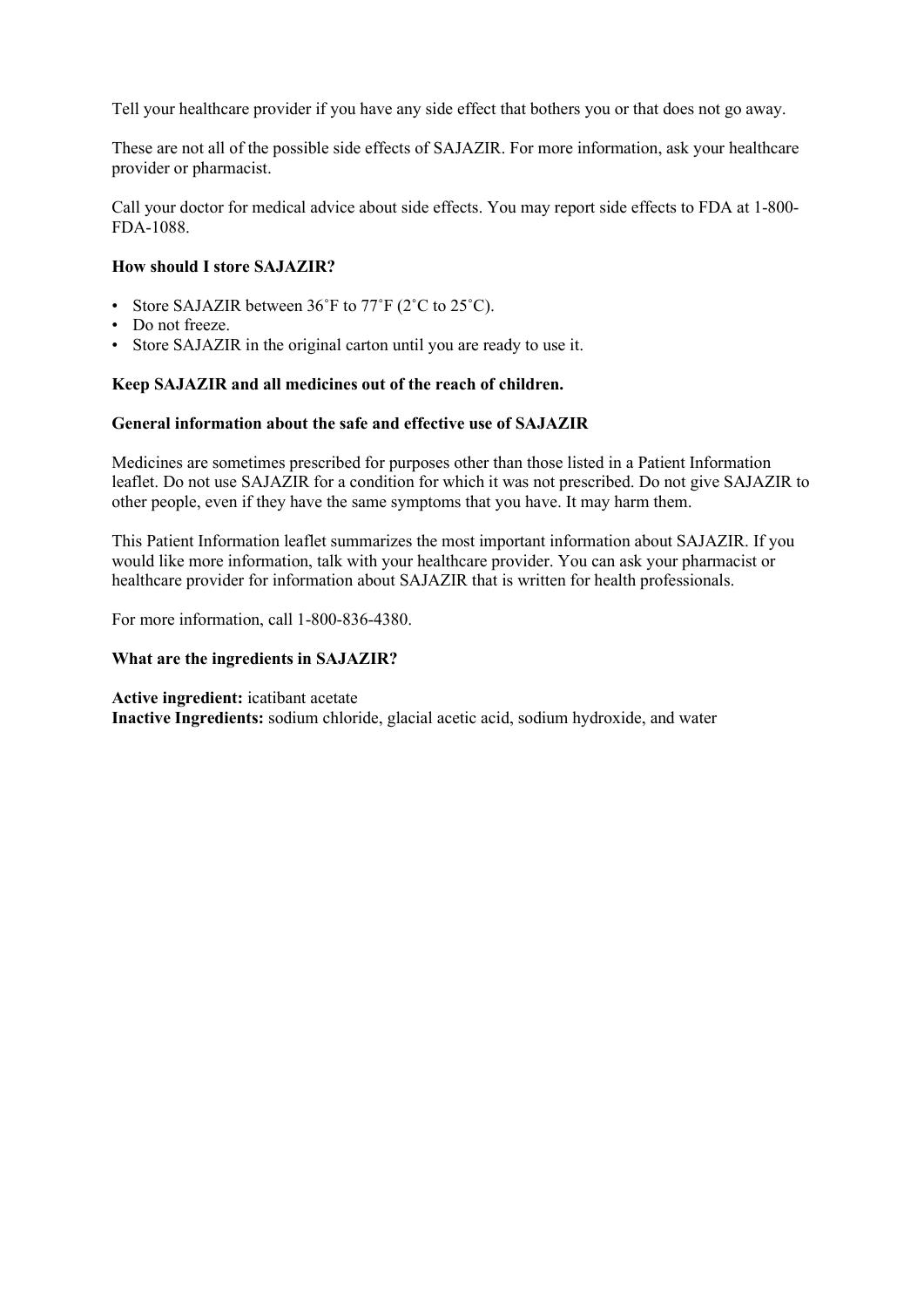Tell your healthcare provider if you have any side effect that bothers you or that does not go away.

These are not all of the possible side effects of SAJAZIR. For more information, ask your healthcare provider or pharmacist.

Call your doctor for medical advice about side effects. You may report side effects to FDA at 1-800- FDA-1088.

### **How should I store SAJAZIR?**

- Store SAJAZIR between 36°F to 77°F (2°C to 25°C).
- Do not freeze.
- Store SAJAZIR in the original carton until you are ready to use it.

#### **Keep SAJAZIR and all medicines out of the reach of children.**

#### **General information about the safe and effective use of SAJAZIR**

Medicines are sometimes prescribed for purposes other than those listed in a Patient Information leaflet. Do not use SAJAZIR for a condition for which it was not prescribed. Do not give SAJAZIR to other people, even if they have the same symptoms that you have. It may harm them.

This Patient Information leaflet summarizes the most important information about SAJAZIR. If you would like more information, talk with your healthcare provider. You can ask your pharmacist or healthcare provider for information about SAJAZIR that is written for health professionals.

For more information, call 1-800-836-4380.

#### **What are the ingredients in SAJAZIR?**

**Active ingredient:** icatibant acetate

**Inactive Ingredients:** sodium chloride, glacial acetic acid, sodium hydroxide, and water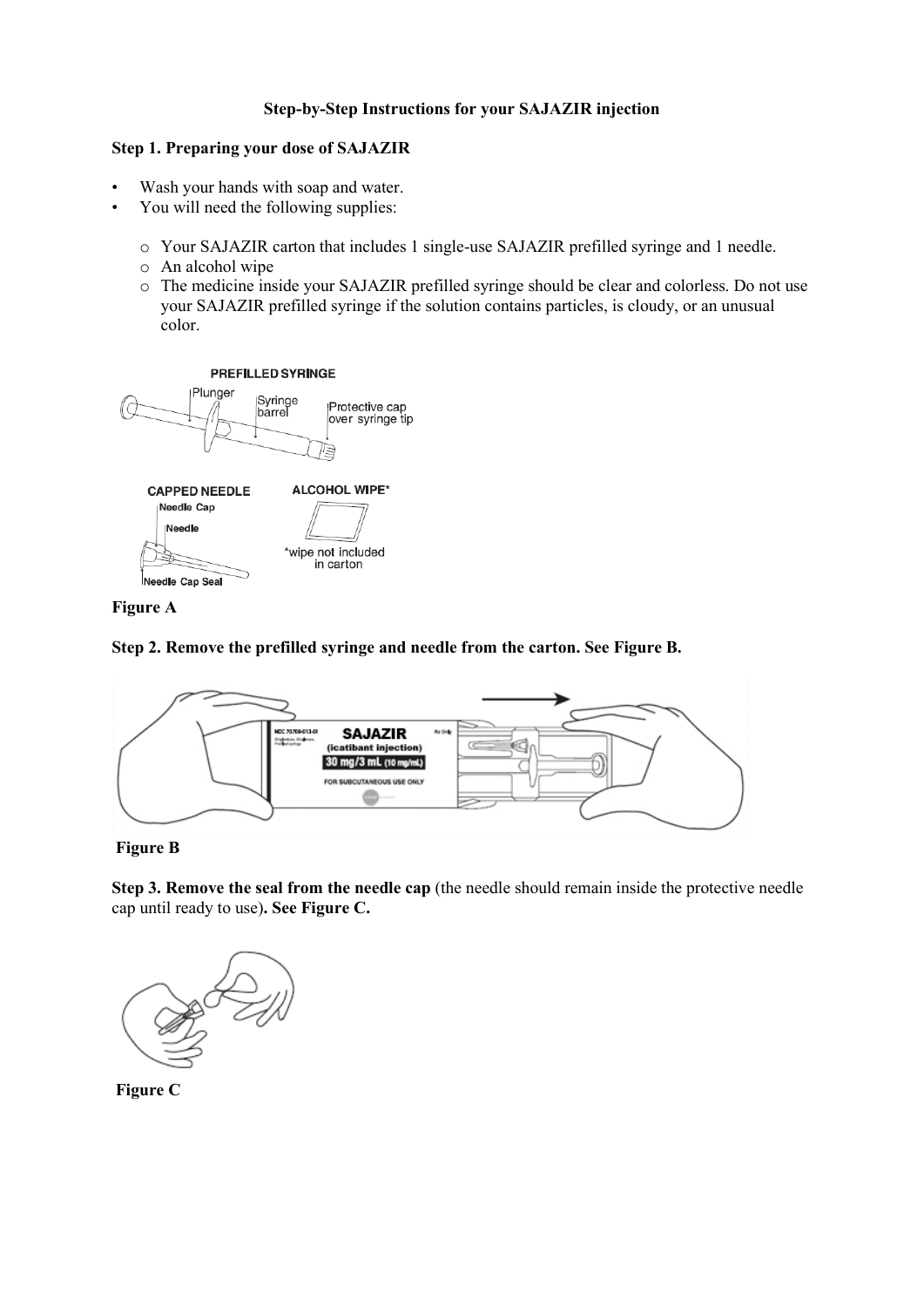# **Step-by-Step Instructions for your SAJAZIR injection**

#### **Step 1. Preparing your dose of SAJAZIR**

- Wash your hands with soap and water.
- You will need the following supplies:
	- o Your SAJAZIR carton that includes 1 single-use SAJAZIR prefilled syringe and 1 needle.
	- o An alcohol wipe
	- o The medicine inside your SAJAZIR prefilled syringe should be clear and colorless. Do not use your SAJAZIR prefilled syringe if the solution contains particles, is cloudy, or an unusual color.



# **Figure A**

### **Step 2. Remove the prefilled syringe and needle from the carton. See Figure B.**



#### **Figure B**

**Step 3. Remove the seal from the needle cap** (the needle should remain inside the protective needle cap until ready to use)**. See Figure C.**



**Figure C**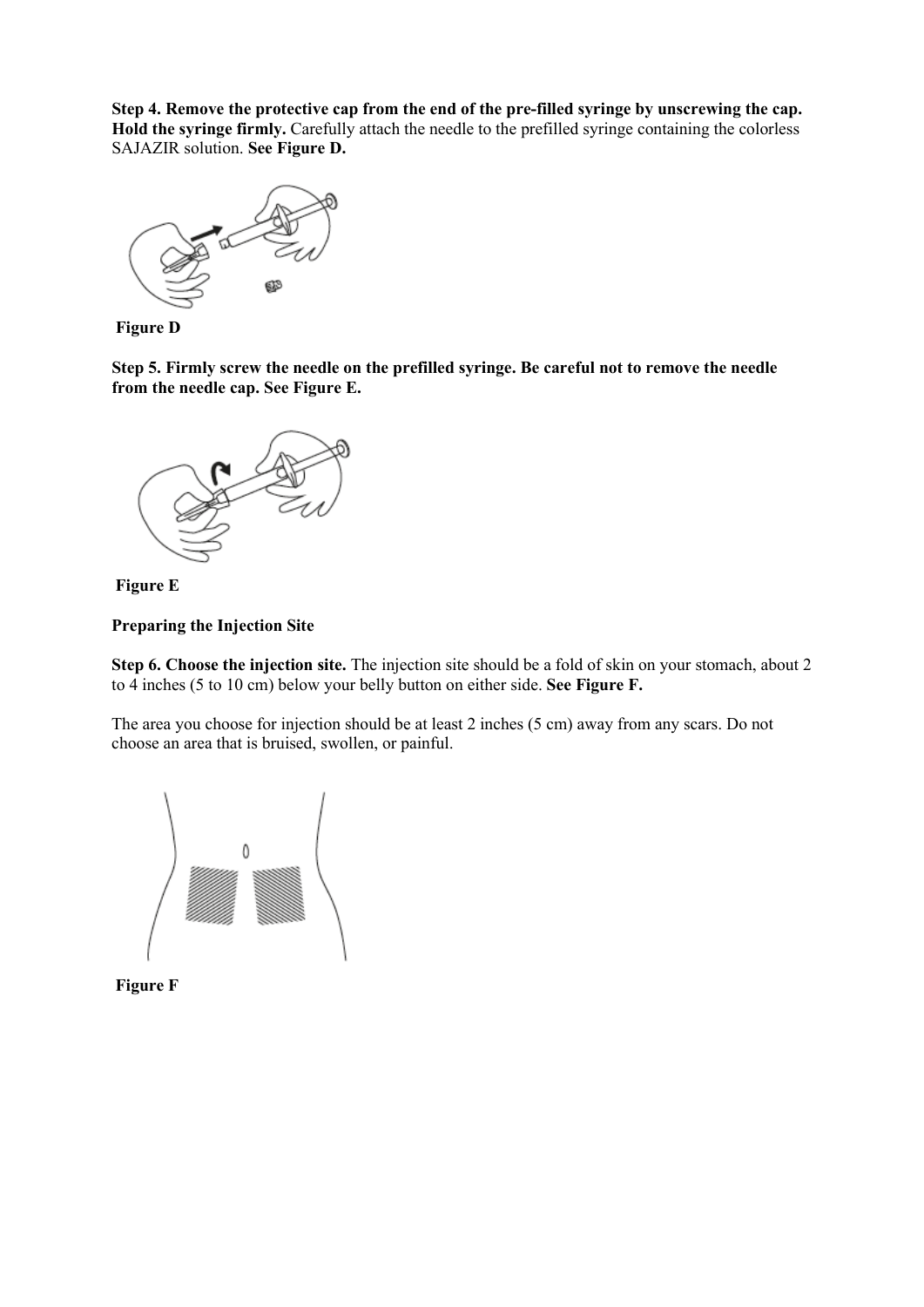**Step 4. Remove the protective cap from the end of the pre-filled syringe by unscrewing the cap. Hold the syringe firmly.** Carefully attach the needle to the prefilled syringe containing the colorless SAJAZIR solution. **See Figure D.**



**Figure D**

**Step 5. Firmly screw the needle on the prefilled syringe. Be careful not to remove the needle from the needle cap. See Figure E.**





**Preparing the Injection Site**

**Step 6. Choose the injection site.** The injection site should be a fold of skin on your stomach, about 2 to 4 inches (5 to 10 cm) below your belly button on either side. **See Figure F.**

The area you choose for injection should be at least 2 inches (5 cm) away from any scars. Do not choose an area that is bruised, swollen, or painful.



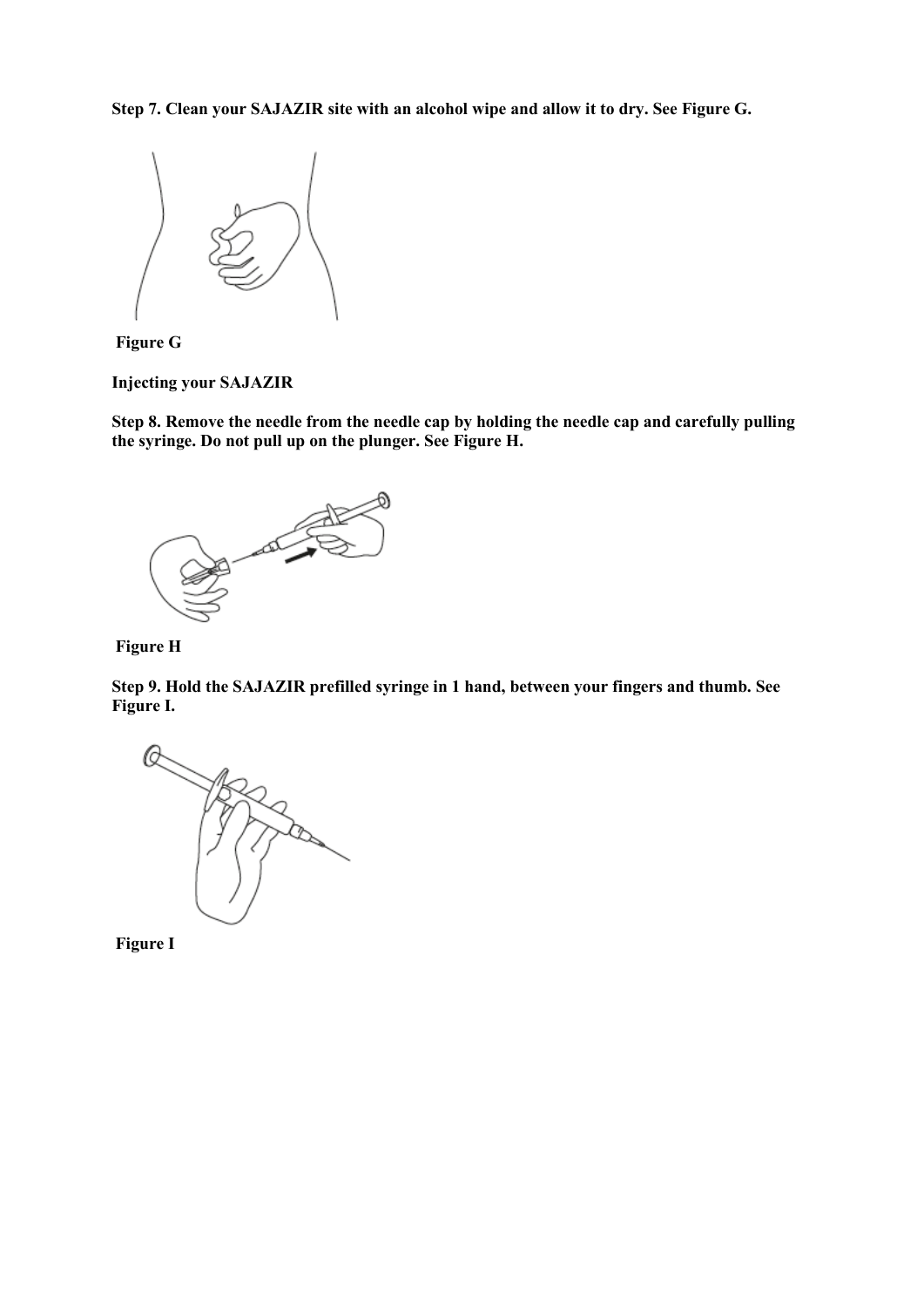**Step 7. Clean your SAJAZIR site with an alcohol wipe and allow it to dry. See Figure G.**





**Injecting your SAJAZIR**

**Step 8. Remove the needle from the needle cap by holding the needle cap and carefully pulling the syringe. Do not pull up on the plunger. See Figure H.**





**Step 9. Hold the SAJAZIR prefilled syringe in 1 hand, between your fingers and thumb. See Figure I.**

E.

**Figure I**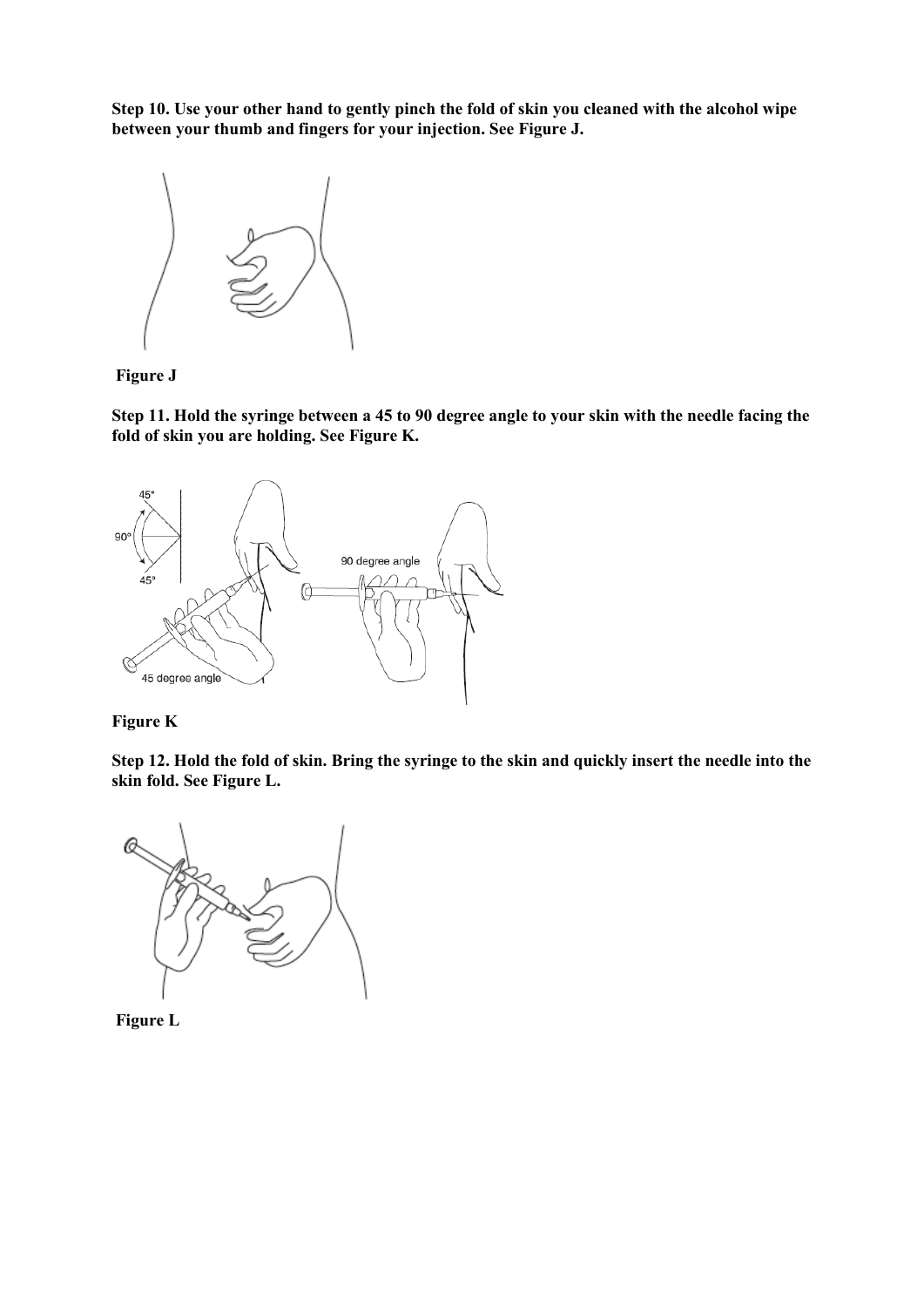**Step 10. Use your other hand to gently pinch the fold of skin you cleaned with the alcohol wipe between your thumb and fingers for your injection. See Figure J.**



**Figure J**

**Step 11. Hold the syringe between a 45 to 90 degree angle to your skin with the needle facing the fold of skin you are holding. See Figure K.**





**Step 12. Hold the fold of skin. Bring the syringe to the skin and quickly insert the needle into the skin fold. See Figure L.**



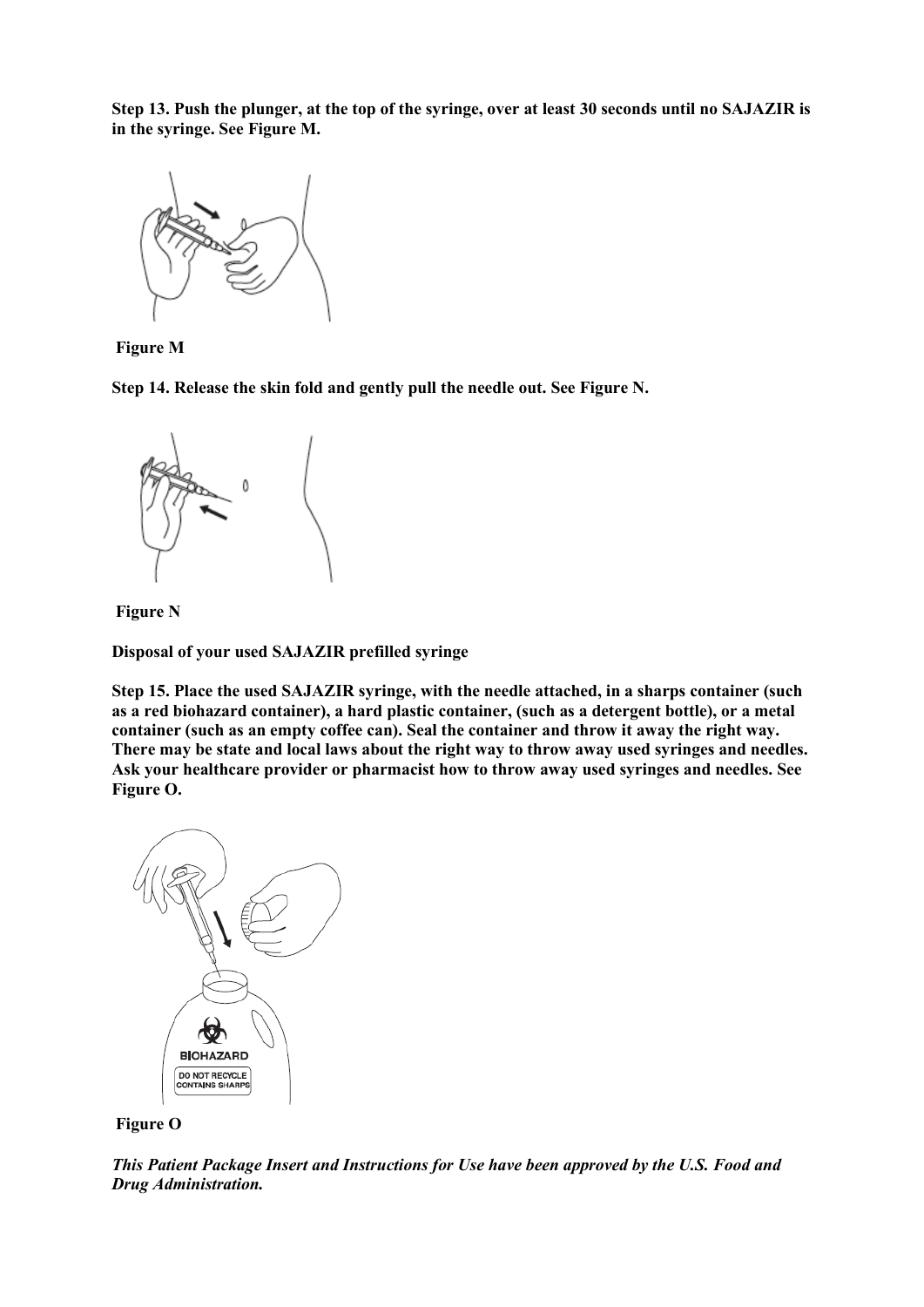**Step 13. Push the plunger, at the top of the syringe, over at least 30 seconds until no SAJAZIR is in the syringe. See Figure M.**



**Figure M**

**Step 14. Release the skin fold and gently pull the needle out. See Figure N.**



**Figure N**

**Disposal of your used SAJAZIR prefilled syringe**

**Step 15. Place the used SAJAZIR syringe, with the needle attached, in a sharps container (such as a red biohazard container), a hard plastic container, (such as a detergent bottle), or a metal container (such as an empty coffee can). Seal the container and throw it away the right way. There may be state and local laws about the right way to throw away used syringes and needles. Ask your healthcare provider or pharmacist how to throw away used syringes and needles. See Figure O.**





*This Patient Package Insert and Instructions for Use have been approved by the U.S. Food and Drug Administration.*